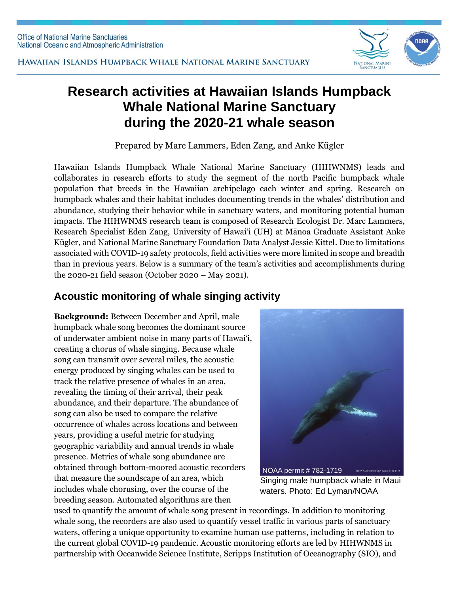

# **Research activities at Hawaiian Islands Humpback Whale National Marine Sanctuary during the 2020-21 whale season**

Prepared by Marc Lammers, Eden Zang, and Anke Kügler

Hawaiian Islands Humpback Whale National Marine Sanctuary (HIHWNMS) leads and collaborates in research efforts to study the segment of the north Pacific humpback whale population that breeds in the Hawaiian archipelago each winter and spring. Research on humpback whales and their habitat includes documenting trends in the whales' distribution and abundance, studying their behavior while in sanctuary waters, and monitoring potential human impacts. The HIHWNMS research team is composed of Research Ecologist Dr. Marc Lammers, Research Specialist Eden Zang, University of Hawai'i (UH) at Mānoa Graduate Assistant Anke Kügler, and National Marine Sanctuary Foundation Data Analyst Jessie Kittel. Due to limitations associated with COVID-19 safety protocols, field activities were more limited in scope and breadth than in previous years. Below is a summary of the team's activities and accomplishments during the 2020-21 field season (October 2020 – May 2021).

### **Acoustic monitoring of whale singing activity**

**Background:** Between December and April, male humpback whale song becomes the dominant source of underwater ambient noise in many parts of Hawai'i, creating a chorus of whale singing. Because whale song can transmit over several miles, the acoustic energy produced by singing whales can be used to track the relative presence of whales in an area, revealing the timing of their arrival, their peak abundance, and their departure. The abundance of song can also be used to compare the relative occurrence of whales across locations and between years, providing a useful metric for studying geographic variability and annual trends in whale presence. Metrics of whale song abundance are obtained through bottom-moored acoustic recorders that measure the soundscape of an area, which includes whale chorusing, over the course of the breeding season. Automated algorithms are then



Singing male humpback whale in Maui waters. Photo: Ed Lyman/NOAA

used to quantify the amount of whale song present in recordings. In addition to monitoring whale song, the recorders are also used to quantify vessel traffic in various parts of sanctuary waters, offering a unique opportunity to examine human use patterns, including in relation to the current global COVID-19 pandemic. Acoustic monitoring efforts are led by HIHWNMS in partnership with Oceanwide Science Institute, Scripps Institution of Oceanography (SIO), and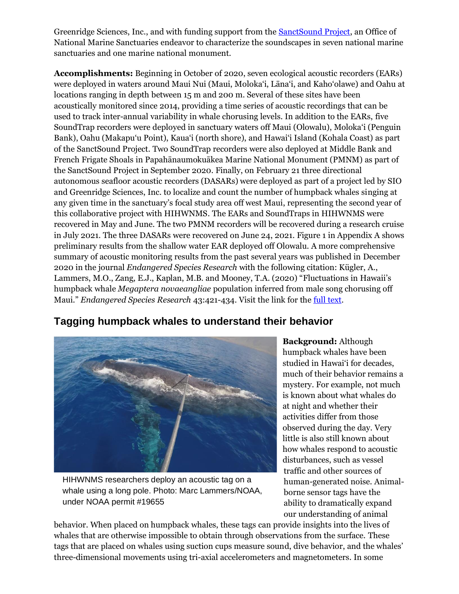Greenridge Sciences, Inc., and with funding support from th[e SanctSound Project,](https://sanctuaries.noaa.gov/science/monitoring/sound/) an Office of National Marine Sanctuaries endeavor to characterize the soundscapes in seven national marine sanctuaries and one marine national monument.

**Accomplishments:** Beginning in October of 2020, seven ecological acoustic recorders (EARs) were deployed in waters around Maui Nui (Maui, Moloka'i, Lāna'i, and Kaho'olawe) and Oahu at locations ranging in depth between 15 m and 200 m. Several of these sites have been acoustically monitored since 2014, providing a time series of acoustic recordings that can be used to track inter-annual variability in whale chorusing levels. In addition to the EARs, five SoundTrap recorders were deployed in sanctuary waters off Maui (Olowalu), Moloka'i (Penguin Bank), Oahu (Makapu'u Point), Kaua'i (north shore), and Hawai'i Island (Kohala Coast) as part of the SanctSound Project. Two SoundTrap recorders were also deployed at Middle Bank and French Frigate Shoals in Papahānaumokuākea Marine National Monument (PMNM) as part of the SanctSound Project in September 2020. Finally, on February 21 three directional autonomous seafloor acoustic recorders (DASARs) were deployed as part of a project led by SIO and Greenridge Sciences, Inc. to localize and count the number of humpback whales singing at any given time in the sanctuary's focal study area off west Maui, representing the second year of this collaborative project with HIHWNMS. The EARs and SoundTraps in HIHWNMS were recovered in May and June. The two PMNM recorders will be recovered during a research cruise in July 2021. The three DASARs were recovered on June 24, 2021. Figure 1 in Appendix A shows preliminary results from the shallow water EAR deployed off Olowalu. A more comprehensive summary of acoustic monitoring results from the past several years was published in December 2020 in the journal *Endangered Species Research* with the following citation: Kügler, A., Lammers, M.O., Zang, E.J., Kaplan, M.B. and Mooney, T.A. (2020) "Fluctuations in Hawaii's humpback whale *Megaptera novaeangliae* population inferred from male song chorusing off Maui." *Endangered Species Research* 43:421-434. Visit the link for the [full text.](https://doi.org/10.3354/esr01080)

#### **Tagging humpback whales to understand their behavior**



HIHWNMS researchers deploy an acoustic tag on a whale using a long pole. Photo: Marc Lammers/NOAA, under NOAA permit #19655

**Background:** Although humpback whales have been studied in Hawai'i for decades, much of their behavior remains a mystery. For example, not much is known about what whales do at night and whether their activities differ from those observed during the day. Very little is also still known about how whales respond to acoustic disturbances, such as vessel traffic and other sources of human-generated noise. Animalborne sensor tags have the ability to dramatically expand our understanding of animal

behavior. When placed on humpback whales, these tags can provide insights into the lives of whales that are otherwise impossible to obtain through observations from the surface. These tags that are placed on whales using suction cups measure sound, dive behavior, and the whales' three-dimensional movements using tri-axial accelerometers and magnetometers. In some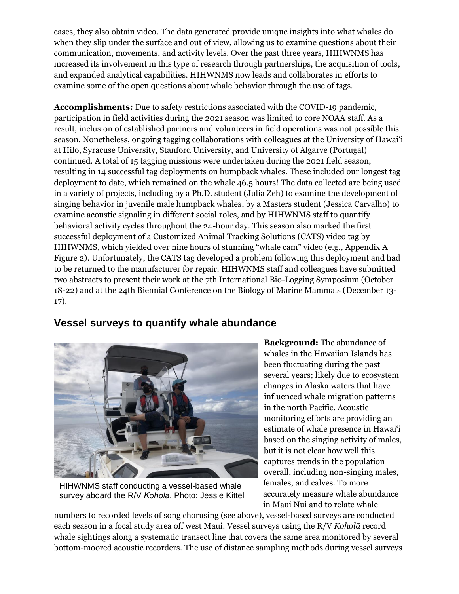cases, they also obtain video. The data generated provide unique insights into what whales do when they slip under the surface and out of view, allowing us to examine questions about their communication, movements, and activity levels. Over the past three years, HIHWNMS has increased its involvement in this type of research through partnerships, the acquisition of tools, and expanded analytical capabilities. HIHWNMS now leads and collaborates in efforts to examine some of the open questions about whale behavior through the use of tags.

**Accomplishments:** Due to safety restrictions associated with the COVID-19 pandemic, participation in field activities during the 2021 season was limited to core NOAA staff. As a result, inclusion of established partners and volunteers in field operations was not possible this season. Nonetheless, ongoing tagging collaborations with colleagues at the University of Hawai'i at Hilo, Syracuse University, Stanford University, and University of Algarve (Portugal) continued. A total of 15 tagging missions were undertaken during the 2021 field season, resulting in 14 successful tag deployments on humpback whales. These included our longest tag deployment to date, which remained on the whale 46.5 hours! The data collected are being used in a variety of projects, including by a Ph.D. student (Julia Zeh) to examine the development of singing behavior in juvenile male humpback whales, by a Masters student (Jessica Carvalho) to examine acoustic signaling in different social roles, and by HIHWNMS staff to quantify behavioral activity cycles throughout the 24-hour day. This season also marked the first successful deployment of a Customized Animal Tracking Solutions (CATS) video tag by HIHWNMS, which yielded over nine hours of stunning "whale cam" video (e.g., Appendix A Figure 2). Unfortunately, the CATS tag developed a problem following this deployment and had to be returned to the manufacturer for repair. HIHWNMS staff and colleagues have submitted two abstracts to present their work at the 7th International Bio-Logging Symposium (October 18-22) and at the 24th Biennial Conference on the Biology of Marine Mammals (December 13- 17).

#### **Vessel surveys to quantify whale abundance**



HIHWNMS staff conducting a vessel-based whale survey aboard the R/V *Koholā*. Photo: Jessie Kittel

**Background:** The abundance of whales in the Hawaiian Islands has been fluctuating during the past several years; likely due to ecosystem changes in Alaska waters that have influenced whale migration patterns in the north Pacific. Acoustic monitoring efforts are providing an estimate of whale presence in Hawai'i based on the singing activity of males, but it is not clear how well this captures trends in the population overall, including non-singing males, females, and calves. To more accurately measure whale abundance in Maui Nui and to relate whale

numbers to recorded levels of song chorusing (see above), vessel-based surveys are conducted each season in a focal study area off west Maui. Vessel surveys using the R/V *Koholā* record whale sightings along a systematic transect line that covers the same area monitored by several bottom-moored acoustic recorders. The use of distance sampling methods during vessel surveys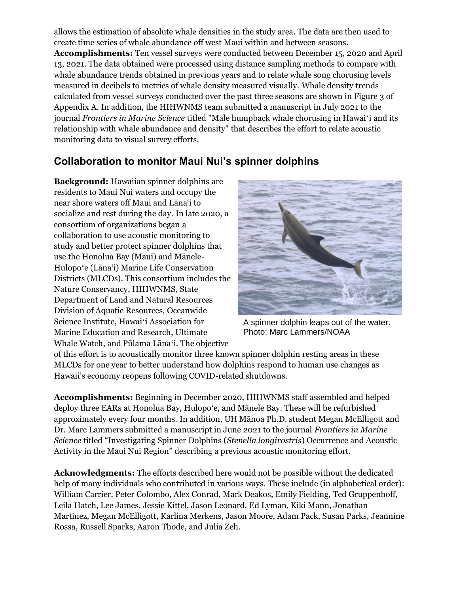allows the estimation of absolute whale densities in the study area. The data are then used to create time series of whale abundance off west Maui within and between seasons.

**Accomplishments:** Ten vessel surveys were conducted between December 15, 2020 and April 13, 2021. The data obtained were processed using distance sampling methods to compare with whale abundance trends obtained in previous years and to relate whale song chorusing levels measured in decibels to metrics of whale density measured visually. Whale density trends calculated from vessel surveys conducted over the past three seasons are shown in Figure 3 of Appendix A. In addition, the HIHWNMS team submitted a manuscript in July 2021 to the journal *Frontiers in Marine Science* titled "Male humpback whale chorusing in Hawaiʻi and its relationship with whale abundance and density" that describes the effort to relate acoustic monitoring data to visual survey efforts.

## **Collaboration to monitor Maui Nui's spinner dolphins**

**Background:** Hawaiian spinner dolphins are residents to Maui Nui waters and occupy the near shore waters off Maui and Lāna'i to socialize and rest during the day. In late 2020, a consortium of organizations began a collaboration to use acoustic monitoring to study and better protect spinner dolphins that use the Honolua Bay (Maui) and Mānele-Hulopoʻe (Lāna'i) Marine Life Conservation Districts (MLCDs). This consortium includes the Nature Conservancy, HIHWNMS, State Department of Land and Natural Resources Division of Aquatic Resources, Oceanwide Science Institute, Hawaiʻi Association for Marine Education and Research, Ultimate Whale Watch, and Pūlama Lānaʻi. The objective



A spinner dolphin leaps out of the water. Photo: Marc Lammers/NOAA

of this effort is to acoustically monitor three known spinner dolphin resting areas in these MLCDs for one year to better understand how dolphins respond to human use changes as Hawaii's economy reopens following COVID-related shutdowns.

**Accomplishments:** Beginning in December 2020, HIHWNMS staff assembled and helped deploy three EARs at Honolua Bay, Hulopo'e, and Mānele Bay. These will be refurbished approximately every four months. In addition, UH Mānoa Ph.D. student Megan McElligott and Dr. Marc Lammers submitted a manuscript in June 2021 to the journal *Frontiers in Marine Science* titled "Investigating Spinner Dolphins (*Stenella longirostris*) Occurrence and Acoustic Activity in the Maui Nui Region" describing a previous acoustic monitoring effort.

**Acknowledgments:** The efforts described here would not be possible without the dedicated help of many individuals who contributed in various ways. These include (in alphabetical order): William Carrier, Peter Colombo, Alex Conrad, Mark Deakos, Emily Fielding, Ted Gruppenhoff, Leila Hatch, Lee James, Jessie Kittel, Jason Leonard, Ed Lyman, Kiki Mann, Jonathan Martinez, Megan McElligott, Karlina Merkens, Jason Moore, Adam Pack, Susan Parks, Jeannine Rossa, Russell Sparks, Aaron Thode, and Julia Zeh.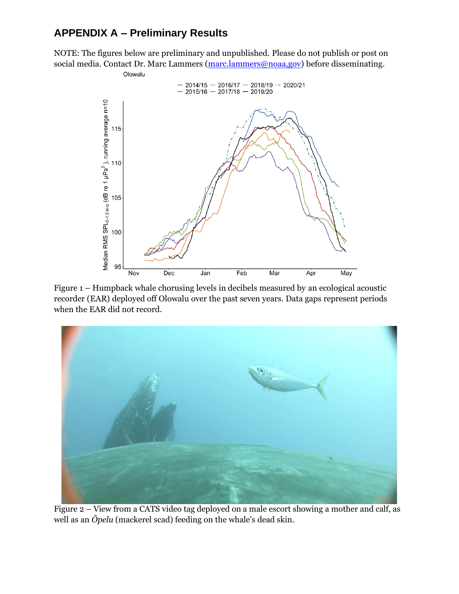# **APPENDIX A – Preliminary Results**

NOTE: The figures below are preliminary and unpublished. Please do not publish or post on social media. Contact Dr. Marc Lammers [\(marc.lammers@noaa,gov\)](mailto:marc.lammers@noaa,gov) before disseminating.



Figure 1 – Humpback whale chorusing levels in decibels measured by an ecological acoustic recorder (EAR) deployed off Olowalu over the past seven years. Data gaps represent periods when the EAR did not record.



Figure 2 – View from a CATS video tag deployed on a male escort showing a mother and calf, as well as an *Ōpelu* (mackerel scad) feeding on the whale's dead skin.